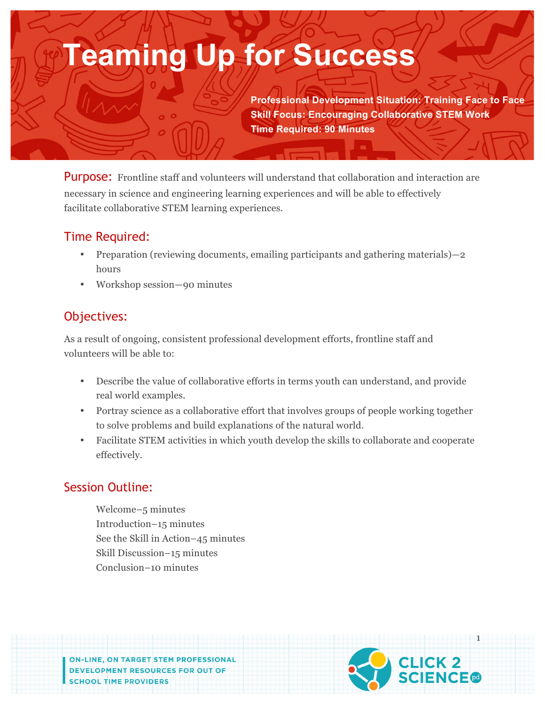# **Teaming Up for Success**

**Professional Development Situation: Training Face to Face Skill Focus: Encouraging Collaborative STEM Work Time Required: 90 Minutes**

**Purpose:** Frontline staff and volunteers will understand that collaboration and interaction are necessary in science and engineering learning experiences and will be able to effectively facilitate collaborative STEM learning experiences.

## Time Required:

- Preparation (reviewing documents, emailing participants and gathering materials) 2 hours
- Workshop session—90 minutes

# Objectives:

As a result of ongoing, consistent professional development efforts, frontline staff and volunteers will be able to:

- Describe the value of collaborative efforts in terms youth can understand, and provide real world examples.
- Portray science as a collaborative effort that involves groups of people working together to solve problems and build explanations of the natural world.
- Facilitate STEM activities in which youth develop the skills to collaborate and cooperate effectively.

## Session Outline:

Welcome–5 minutes Introduction–15 minutes See the Skill in Action–45 minutes Skill Discussion–15 minutes Conclusion–10 minutes

**ON-LINE, ON TARGET STEM PROFESSIONAL** DEVELOPMENT RESOURCES FOR OUT OF

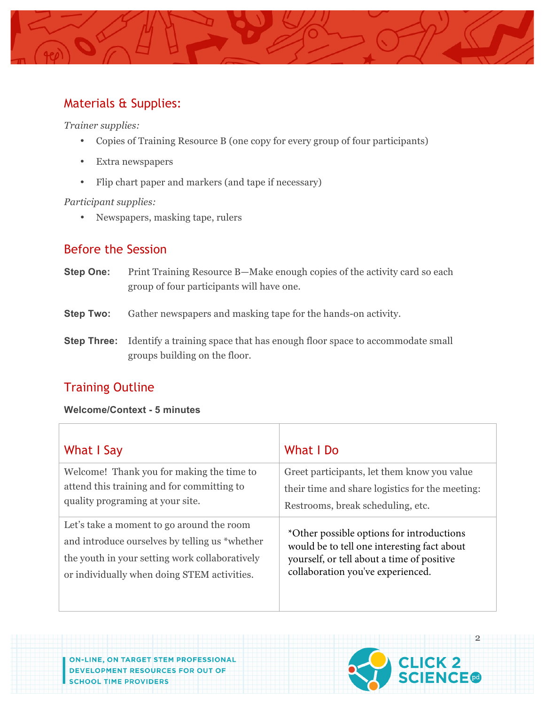

## Materials & Supplies:

*Trainer supplies:* 

- Copies of Training Resource B (one copy for every group of four participants)
- Extra newspapers
- Flip chart paper and markers (and tape if necessary)

#### *Participant supplies:*

• Newspapers, masking tape, rulers

## Before the Session

- **Step One:** Print Training Resource B—Make enough copies of the activity card so each group of four participants will have one.
- **Step Two:** Gather newspapers and masking tape for the hands-on activity.
- **Step Three:** Identify a training space that has enough floor space to accommodate small groups building on the floor.

# Training Outline

#### **Welcome/Context - 5 minutes**

| What I Say                                     | What I Do                                       |
|------------------------------------------------|-------------------------------------------------|
| Welcome! Thank you for making the time to      | Greet participants, let them know you value     |
| attend this training and for committing to     | their time and share logistics for the meeting: |
| quality programing at your site.               | Restrooms, break scheduling, etc.               |
| Let's take a moment to go around the room      | *Other possible options for introductions       |
| and introduce ourselves by telling us *whether | would be to tell one interesting fact about     |
| the youth in your setting work collaboratively | yourself, or tell about a time of positive      |
| or individually when doing STEM activities.    | collaboration you've experienced.               |

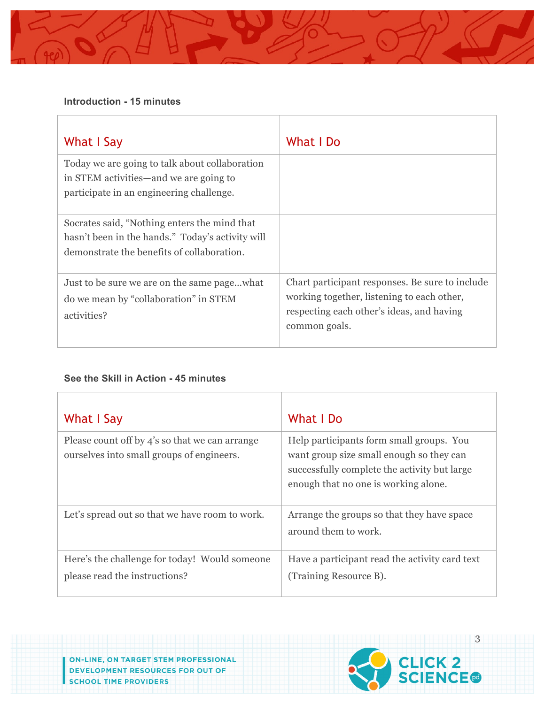#### **Introduction - 15 minutes**

| What I Say                                                                                                                                     | What I Do                                                                                                                                                   |
|------------------------------------------------------------------------------------------------------------------------------------------------|-------------------------------------------------------------------------------------------------------------------------------------------------------------|
| Today we are going to talk about collaboration<br>in STEM activities—and we are going to<br>participate in an engineering challenge.           |                                                                                                                                                             |
| Socrates said, "Nothing enters the mind that<br>hasn't been in the hands." Today's activity will<br>demonstrate the benefits of collaboration. |                                                                                                                                                             |
| Just to be sure we are on the same pagewhat<br>do we mean by "collaboration" in STEM<br>activities?                                            | Chart participant responses. Be sure to include<br>working together, listening to each other,<br>respecting each other's ideas, and having<br>common goals. |

#### **See the Skill in Action - 45 minutes**

| What I Say                                                                                  | What I Do                                                                                                                                                                    |
|---------------------------------------------------------------------------------------------|------------------------------------------------------------------------------------------------------------------------------------------------------------------------------|
| Please count off by 4's so that we can arrange<br>ourselves into small groups of engineers. | Help participants form small groups. You<br>want group size small enough so they can<br>successfully complete the activity but large<br>enough that no one is working alone. |
| Let's spread out so that we have room to work.                                              | Arrange the groups so that they have space<br>around them to work.                                                                                                           |
| Here's the challenge for today! Would someone<br>please read the instructions?              | Have a participant read the activity card text<br>(Training Resource B).                                                                                                     |

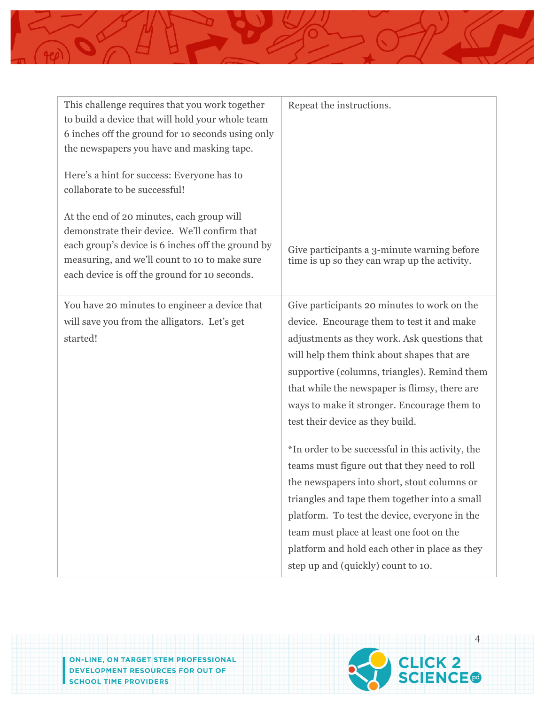

| This challenge requires that you work together<br>to build a device that will hold your whole team<br>6 inches off the ground for 10 seconds using only<br>the newspapers you have and masking tape.<br>Here's a hint for success: Everyone has to<br>collaborate to be successful! | Repeat the instructions.                                                                                                                                                                                                                                                                                                                                                                                                                                                                                                                                                                                                                                                                                                                                            |
|-------------------------------------------------------------------------------------------------------------------------------------------------------------------------------------------------------------------------------------------------------------------------------------|---------------------------------------------------------------------------------------------------------------------------------------------------------------------------------------------------------------------------------------------------------------------------------------------------------------------------------------------------------------------------------------------------------------------------------------------------------------------------------------------------------------------------------------------------------------------------------------------------------------------------------------------------------------------------------------------------------------------------------------------------------------------|
| At the end of 20 minutes, each group will<br>demonstrate their device. We'll confirm that<br>each group's device is 6 inches off the ground by<br>measuring, and we'll count to 10 to make sure<br>each device is off the ground for 10 seconds.                                    | Give participants a 3-minute warning before<br>time is up so they can wrap up the activity.                                                                                                                                                                                                                                                                                                                                                                                                                                                                                                                                                                                                                                                                         |
| You have 20 minutes to engineer a device that<br>will save you from the alligators. Let's get<br>started!                                                                                                                                                                           | Give participants 20 minutes to work on the<br>device. Encourage them to test it and make<br>adjustments as they work. Ask questions that<br>will help them think about shapes that are<br>supportive (columns, triangles). Remind them<br>that while the newspaper is flimsy, there are<br>ways to make it stronger. Encourage them to<br>test their device as they build.<br>*In order to be successful in this activity, the<br>teams must figure out that they need to roll<br>the newspapers into short, stout columns or<br>triangles and tape them together into a small<br>platform. To test the device, everyone in the<br>team must place at least one foot on the<br>platform and hold each other in place as they<br>step up and (quickly) count to 10. |

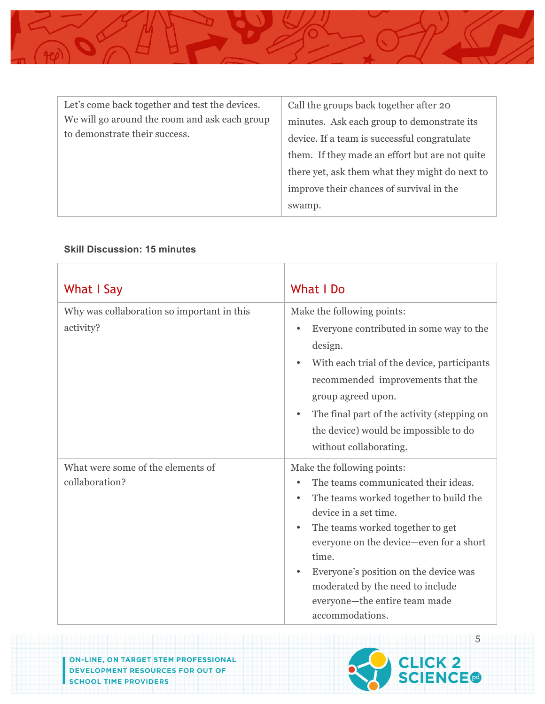

| Let's come back together and test the devices.                                 | Call the groups back together after 20         |
|--------------------------------------------------------------------------------|------------------------------------------------|
| We will go around the room and ask each group<br>to demonstrate their success. | minutes. Ask each group to demonstrate its     |
|                                                                                | device. If a team is successful congratulate   |
|                                                                                | them. If they made an effort but are not quite |
|                                                                                | there yet, ask them what they might do next to |
|                                                                                | improve their chances of survival in the       |
|                                                                                | swamp.                                         |

#### **Skill Discussion: 15 minutes**

| What I Say                                              | What I Do                                                                                                                                                                                                                                                                                                                                                     |
|---------------------------------------------------------|---------------------------------------------------------------------------------------------------------------------------------------------------------------------------------------------------------------------------------------------------------------------------------------------------------------------------------------------------------------|
| Why was collaboration so important in this<br>activity? | Make the following points:<br>Everyone contributed in some way to the<br>design.<br>With each trial of the device, participants<br>recommended improvements that the<br>group agreed upon.<br>The final part of the activity (stepping on<br>the device) would be impossible to do<br>without collaborating.                                                  |
| What were some of the elements of<br>collaboration?     | Make the following points:<br>The teams communicated their ideas.<br>The teams worked together to build the<br>device in a set time.<br>The teams worked together to get<br>everyone on the device—even for a short<br>time.<br>Everyone's position on the device was<br>moderated by the need to include<br>everyone-the entire team made<br>accommodations. |



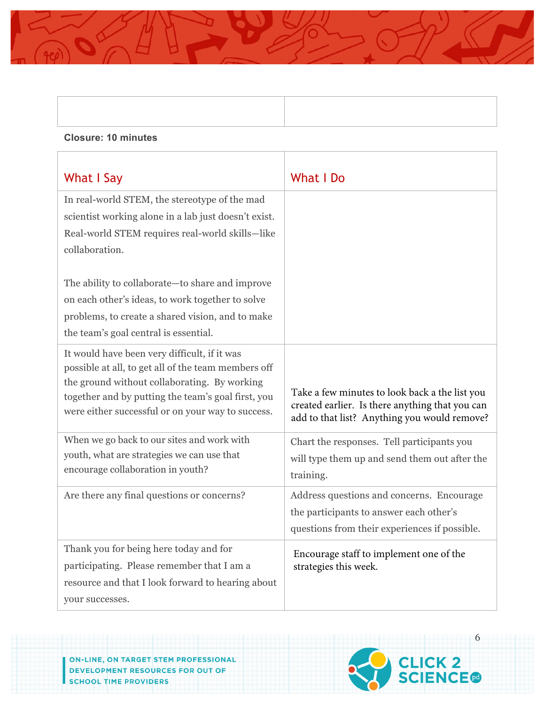#### **Closure: 10 minutes**

| What I Say                                                                                                                                                                                                                                                                                                                                                                     | <b>What I Do</b>                                                                                                                                  |
|--------------------------------------------------------------------------------------------------------------------------------------------------------------------------------------------------------------------------------------------------------------------------------------------------------------------------------------------------------------------------------|---------------------------------------------------------------------------------------------------------------------------------------------------|
| In real-world STEM, the stereotype of the mad<br>scientist working alone in a lab just doesn't exist.<br>Real-world STEM requires real-world skills-like<br>collaboration.<br>The ability to collaborate-to share and improve<br>on each other's ideas, to work together to solve<br>problems, to create a shared vision, and to make<br>the team's goal central is essential. |                                                                                                                                                   |
| It would have been very difficult, if it was<br>possible at all, to get all of the team members off<br>the ground without collaborating. By working<br>together and by putting the team's goal first, you<br>were either successful or on your way to success.                                                                                                                 | Take a few minutes to look back a the list you<br>created earlier. Is there anything that you can<br>add to that list? Anything you would remove? |
| When we go back to our sites and work with<br>youth, what are strategies we can use that<br>encourage collaboration in youth?                                                                                                                                                                                                                                                  | Chart the responses. Tell participants you<br>will type them up and send them out after the<br>training.                                          |
| Are there any final questions or concerns?                                                                                                                                                                                                                                                                                                                                     | Address questions and concerns. Encourage<br>the participants to answer each other's<br>questions from their experiences if possible.             |
| Thank you for being here today and for<br>participating. Please remember that I am a<br>resource and that I look forward to hearing about<br>your successes.                                                                                                                                                                                                                   | Encourage staff to implement one of the<br>strategies this week.                                                                                  |

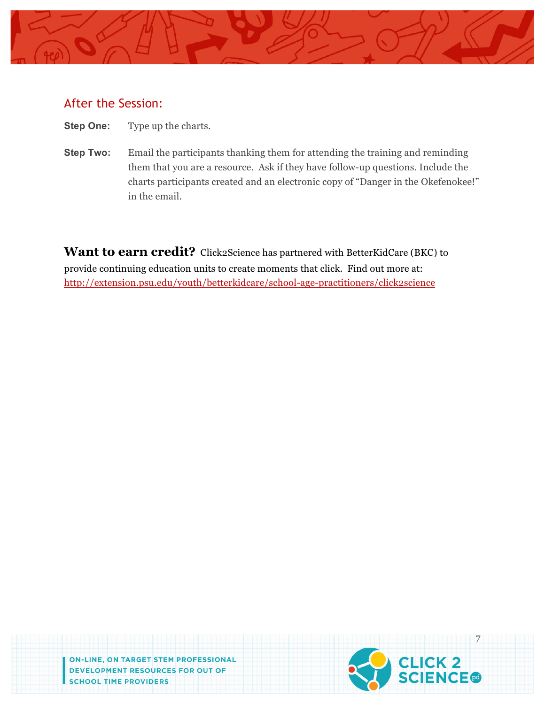

### After the Session:

- **Step One:** Type up the charts.
- **Step Two:** Email the participants thanking them for attending the training and reminding them that you are a resource. Ask if they have follow-up questions. Include the charts participants created and an electronic copy of "Danger in the Okefenokee!" in the email.

**Want to earn credit?** Click2Science has partnered with BetterKidCare (BKC) to provide continuing education units to create moments that click. Find out more at: http://extension.psu.edu/youth/betterkidcare/school-age-practitioners/click2science

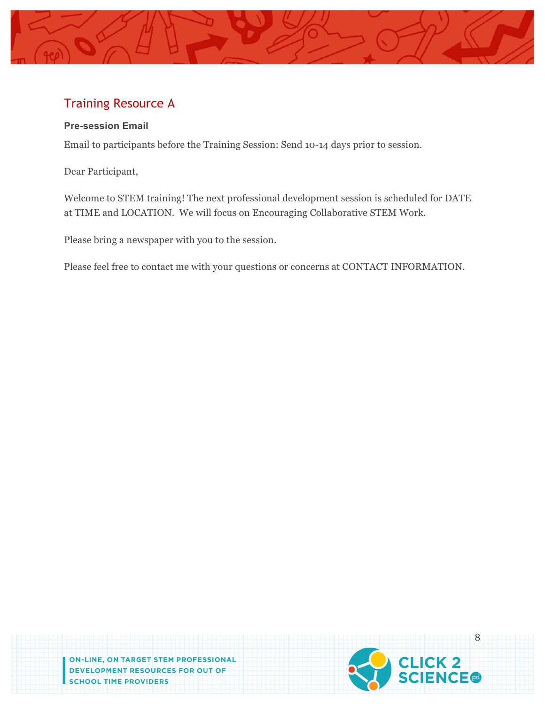

## Training Resource A

#### **Pre-session Email**

Email to participants before the Training Session: Send 10-14 days prior to session.

Dear Participant,

Welcome to STEM training! The next professional development session is scheduled for DATE at TIME and LOCATION. We will focus on Encouraging Collaborative STEM Work.

Please bring a newspaper with you to the session.

Please feel free to contact me with your questions or concerns at CONTACT INFORMATION.